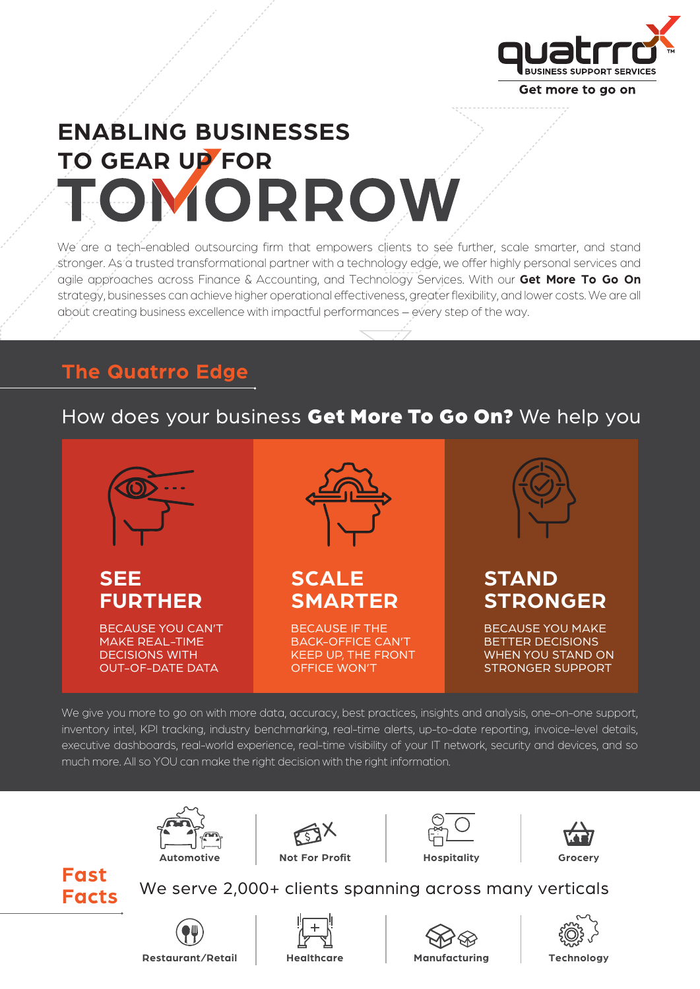

# **ENABLING BUSINESSES TO GEAR UP FOR** TOMORROW

We are a tech-enabled outsourcing firm that empowers clients to see further, scale smarter, and stand stronger. As a trusted transformational partner with a technology edge, we offer highly personal services and agile approaches across Finance & Accounting, and Technology Services. With our **Get More To Go On**  strategy, businesses can achieve higher operational effectiveness, greater flexibility, and lower costs. We are all about creating business excellence with impactful performances - every step of the way.

## **The Quatrro Edge**

## How does your business Get More To Go On? We help you



We give you more to go on with more data, accuracy, best practices, insights and analysis, one-on-one support, inventory intel, KPI tracking, industry benchmarking, real-time alerts, up-to-date reporting, invoice-level details, executive dashboards, real-world experience, real-time visibility of your IT network, security and devices, and so much more. All so YOU can make the right decision with the right information.

![](_page_0_Picture_7.jpeg)

![](_page_0_Picture_8.jpeg)

![](_page_0_Picture_9.jpeg)

![](_page_0_Picture_10.jpeg)

#### **Fast Facts**

We serve 2,000+ clients spanning across many verticals

![](_page_0_Picture_13.jpeg)

![](_page_0_Picture_14.jpeg)

![](_page_0_Picture_15.jpeg)

![](_page_0_Picture_16.jpeg)